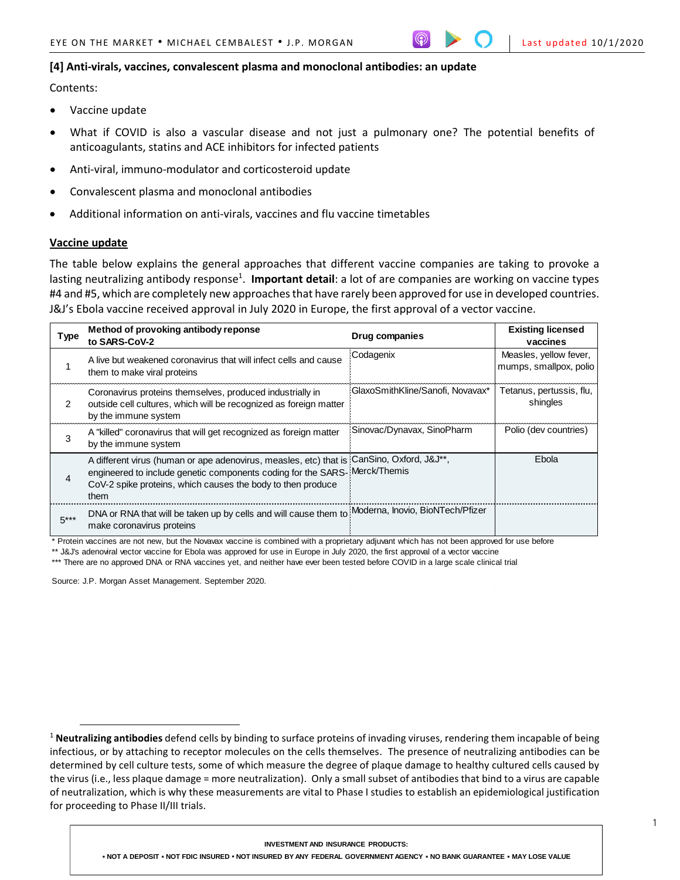### **[4] Anti-virals, vaccines, convalescent plasma and monoclonal antibodies: an update**

Contents:

- Vaccine update
- What if COVID is also a vascular disease and not just a pulmonary one? The potential benefits of anticoagulants, statins and ACE inhibitors for infected patients
- Anti-viral, immuno-modulator and corticosteroid update
- Convalescent plasma and monoclonal antibodies
- Additional information on anti-virals, vaccines and flu vaccine timetables

#### **Vaccine update**

 $\overline{a}$ 

The table below explains the general approaches that different vaccine companies are taking to provoke a lasting neutralizing antibody response<sup>1</sup>. Important detail: a lot of are companies are working on vaccine types #4 and #5, which are completely new approaches that have rarely been approved for use in developed countries. J&J's Ebola vaccine received approval in July 2020 in Europe, the first approval of a vector vaccine.

| Type   | Method of provoking antibody reponse<br>to SARS-CoV-2                                                                                                                                                                                         | Drug companies                   | <b>Existing licensed</b><br>vaccines             |
|--------|-----------------------------------------------------------------------------------------------------------------------------------------------------------------------------------------------------------------------------------------------|----------------------------------|--------------------------------------------------|
|        | A live but weakened coronavirus that will infect cells and cause<br>them to make viral proteins                                                                                                                                               | Codagenix                        | Measles, yellow fever,<br>mumps, smallpox, polio |
| 2      | Coronavirus proteins themselves, produced industrially in<br>outside cell cultures, which will be recognized as foreign matter<br>by the immune system                                                                                        | GlaxoSmithKline/Sanofi, Novavax* | Tetanus, pertussis, flu,<br>shingles             |
| 3      | A "killed" coronavirus that will get recognized as foreign matter<br>by the immune system                                                                                                                                                     | Sinovac/Dynavax, SinoPharm       | Polio (dev countries)                            |
| 4      | A different virus (human or ape adenovirus, measles, etc) that is CanSino, Oxford, J&J**,<br>engineered to include genetic components coding for the SARS-Merck/Themis<br>CoV-2 spike proteins, which causes the body to then produce<br>them |                                  | Ebola                                            |
| $5***$ | DNA or RNA that will be taken up by cells and will cause them to Moderna, Inovio, BioNTech/Pfizer<br>make coronavirus proteins                                                                                                                |                                  |                                                  |

\* Protein vaccines are not new, but the Novavax vaccine is combined with a proprietary adjuvant which has not been approved for use before

\*\* J&J's adenoviral vector vaccine for Ebola was approved for use in Europe in July 2020, the first approval of a vector vaccine

\*\*\* There are no approved DNA or RNA vaccines yet, and neither have ever been tested before COVID in a large scale clinical trial

Source: J.P. Morgan Asset Management. September 2020.

• **NOT A DEPOSIT** • **NOT FDIC INSURED • NOT INSURED BY ANY FEDERAL GOVERNMENT AGENCY** • **NO BANK GUARANTEE** • **MAY LOSE VALUE**

<sup>&</sup>lt;sup>1</sup> Neutralizing antibodies defend cells by binding to surface proteins of invading viruses, rendering them incapable of being infectious, or by attaching to receptor molecules on the cells themselves.The presence of neutralizing antibodies can be determined by cell culture tests, some of which measure the degree of plaque damage to healthy cultured cells caused by the virus (i.e., less plaque damage = more neutralization). Only a small subset of antibodies that bind to a virus are capable of neutralization, which is why these measurements are vital to Phase I studies to establish an epidemiological justification for proceeding to Phase II/III trials.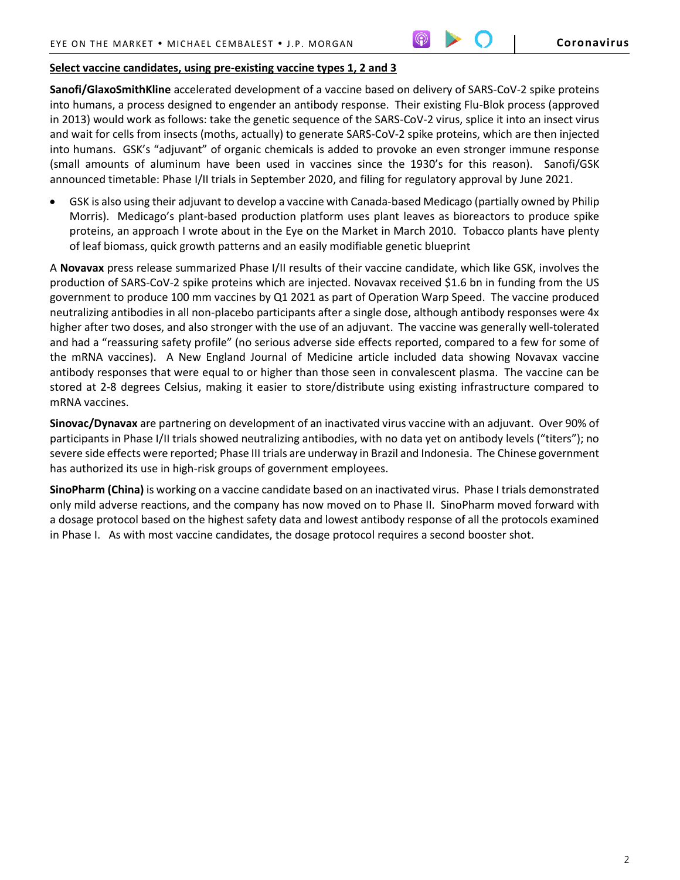# **Select vaccine candidates, using pre-existing vaccine types 1, 2 and 3**

**Sanofi/GlaxoSmithKline** accelerated development of a vaccine based on delivery of SARS-CoV-2 spike proteins into humans, a process designed to engender an antibody response. Their existing Flu-Blok process (approved in 2013) would work as follows: take the genetic sequence of the SARS-CoV-2 virus, splice it into an insect virus and wait for cells from insects (moths, actually) to generate SARS-CoV-2 spike proteins, which are then injected into humans. GSK's "adjuvant" of organic chemicals is added to provoke an even stronger immune response (small amounts of aluminum have been used in vaccines since the 1930's for this reason). Sanofi/GSK announced timetable: Phase I/II trials in September 2020, and filing for regulatory approval by June 2021.

 GSK is also using their adjuvant to develop a vaccine with Canada-based Medicago (partially owned by Philip Morris). Medicago's plant-based production platform uses plant leaves as bioreactors to produce spike proteins, an approach I wrote about in the Eye on the Market in March 2010. Tobacco plants have plenty of leaf biomass, quick growth patterns and an easily modifiable genetic blueprint

A **Novavax** press release summarized Phase I/II results of their vaccine candidate, which like GSK, involves the production of SARS-CoV-2 spike proteins which are injected. Novavax received \$1.6 bn in funding from the US government to produce 100 mm vaccines by Q1 2021 as part of Operation Warp Speed. The vaccine produced neutralizing antibodies in all non-placebo participants after a single dose, although antibody responses were 4x higher after two doses, and also stronger with the use of an adjuvant. The vaccine was generally well-tolerated and had a "reassuring safety profile" (no serious adverse side effects reported, compared to a few for some of the mRNA vaccines). A New England Journal of Medicine article included data showing Novavax vaccine antibody responses that were equal to or higher than those seen in convalescent plasma. The vaccine can be stored at 2-8 degrees Celsius, making it easier to store/distribute using existing infrastructure compared to mRNA vaccines.

**Sinovac/Dynavax** are partnering on development of an inactivated virus vaccine with an adjuvant. Over 90% of participants in Phase I/II trials showed neutralizing antibodies, with no data yet on antibody levels ("titers"); no severe side effects were reported; Phase III trials are underway in Brazil and Indonesia. The Chinese government has authorized its use in high-risk groups of government employees.

**SinoPharm (China)** is working on a vaccine candidate based on an inactivated virus. Phase I trials demonstrated only mild adverse reactions, and the company has now moved on to Phase II. SinoPharm moved forward with a dosage protocol based on the highest safety data and lowest antibody response of all the protocols examined in Phase I. As with most vaccine candidates, the dosage protocol requires a second booster shot.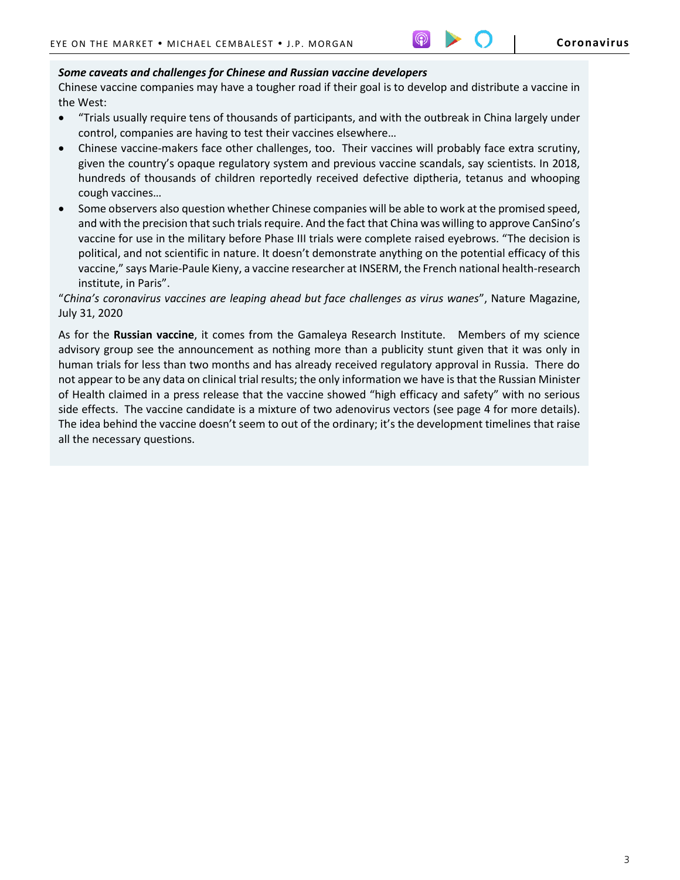#### *Some caveats and challenges for Chinese and Russian vaccine developers*

Chinese vaccine companies may have a tougher road if their goal is to develop and distribute a vaccine in the West:

- "Trials usually require tens of thousands of participants, and with the outbreak in China largely under control, companies are having to test their vaccines elsewhere…
- Chinese vaccine-makers face other challenges, too. Their vaccines will probably face extra scrutiny, given the country's opaque regulatory system and previous vaccine scandals, say scientists. In 2018, hundreds of thousands of children reportedly received defective diptheria, tetanus and whooping cough vaccines…
- Some observers also question whether Chinese companies will be able to work at the promised speed, and with the precision that such trials require. And the fact that China was willing to approve CanSino's vaccine for use in the military before Phase III trials were complete raised eyebrows. "The decision is political, and not scientific in nature. It doesn't demonstrate anything on the potential efficacy of this vaccine," says Marie-Paule Kieny, a vaccine researcher at INSERM, the French national health-research institute, in Paris".

# "*China's coronavirus vaccines are leaping ahead but face challenges as virus wanes*", Nature Magazine, July 31, 2020

As for the **Russian vaccine**, it comes from the Gamaleya Research Institute. Members of my science advisory group see the announcement as nothing more than a publicity stunt given that it was only in human trials for less than two months and has already received regulatory approval in Russia. There do not appear to be any data on clinical trial results; the only information we have is that the Russian Minister of Health claimed in a press release that the vaccine showed "high efficacy and safety" with no serious side effects. The vaccine candidate is a mixture of two adenovirus vectors (see page 4 for more details). The idea behind the vaccine doesn't seem to out of the ordinary; it's the development timelines that raise all the necessary questions.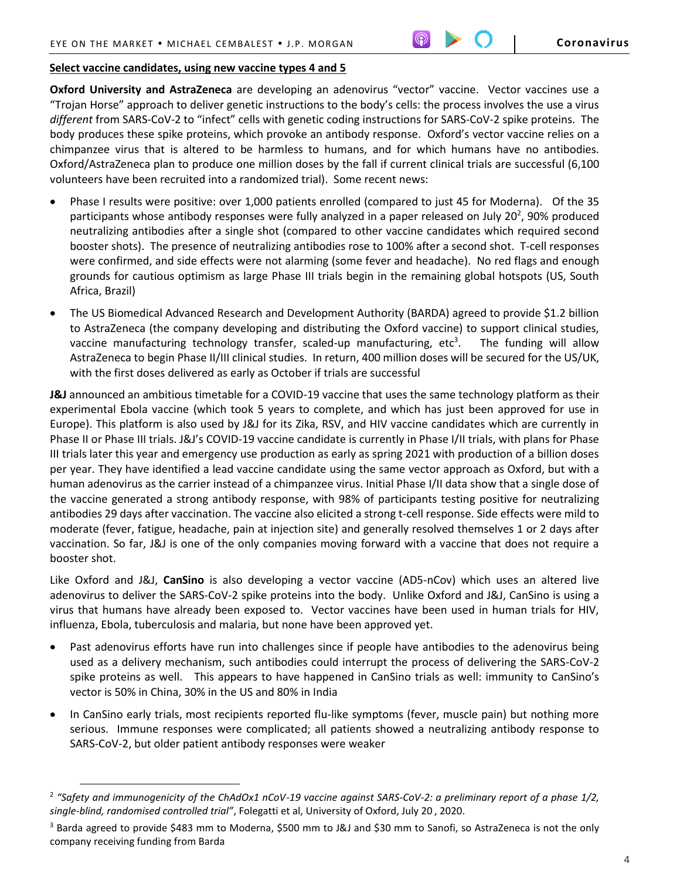### **Select vaccine candidates, using new vaccine types 4 and 5**

**Oxford University and AstraZeneca** are developing an adenovirus "vector" vaccine. Vector vaccines use a "Trojan Horse" approach to deliver genetic instructions to the body's cells: the process involves the use a virus *different* from SARS-CoV-2 to "infect" cells with genetic coding instructions for SARS-CoV-2 spike proteins. The body produces these spike proteins, which provoke an antibody response. Oxford's vector vaccine relies on a chimpanzee virus that is altered to be harmless to humans, and for which humans have no antibodies. Oxford/AstraZeneca plan to produce one million doses by the fall if current clinical trials are successful (6,100 volunteers have been recruited into a randomized trial). Some recent news:

- Phase I results were positive: over 1,000 patients enrolled (compared to just 45 for Moderna). Of the 35 participants whose antibody responses were fully analyzed in a paper released on July 20<sup>2</sup>, 90% produced neutralizing antibodies after a single shot (compared to other vaccine candidates which required second booster shots). The presence of neutralizing antibodies rose to 100% after a second shot. T-cell responses were confirmed, and side effects were not alarming (some fever and headache). No red flags and enough grounds for cautious optimism as large Phase III trials begin in the remaining global hotspots (US, South Africa, Brazil)
- The US Biomedical Advanced Research and Development Authority (BARDA) agreed to provide \$1.2 billion to AstraZeneca (the company developing and distributing the Oxford vaccine) to support clinical studies, vaccine manufacturing technology transfer, scaled-up manufacturing,  $etc<sup>3</sup>$ . . The funding will allow AstraZeneca to begin Phase II/III clinical studies. In return, 400 million doses will be secured for the US/UK, with the first doses delivered as early as October if trials are successful

**J&J** announced an ambitious timetable for a COVID-19 vaccine that uses the same technology platform as their experimental Ebola vaccine (which took 5 years to complete, and which has just been approved for use in Europe). This platform is also used by J&J for its Zika, RSV, and HIV vaccine candidates which are currently in Phase II or Phase III trials. J&J's COVID-19 vaccine candidate is currently in Phase I/II trials, with plans for Phase III trials later this year and emergency use production as early as spring 2021 with production of a billion doses per year. They have identified a lead vaccine candidate using the same vector approach as Oxford, but with a human adenovirus as the carrier instead of a chimpanzee virus. Initial Phase I/II data show that a single dose of the vaccine generated a strong antibody response, with 98% of participants testing positive for neutralizing antibodies 29 days after vaccination. The vaccine also elicited a strong t-cell response. Side effects were mild to moderate (fever, fatigue, headache, pain at injection site) and generally resolved themselves 1 or 2 days after vaccination. So far, J&J is one of the only companies moving forward with a vaccine that does not require a booster shot.

Like Oxford and J&J, **CanSino** is also developing a vector vaccine (AD5-nCov) which uses an altered live adenovirus to deliver the SARS-CoV-2 spike proteins into the body. Unlike Oxford and J&J, CanSino is using a virus that humans have already been exposed to. Vector vaccines have been used in human trials for HIV, influenza, Ebola, tuberculosis and malaria, but none have been approved yet.

- Past adenovirus efforts have run into challenges since if people have antibodies to the adenovirus being used as a delivery mechanism, such antibodies could interrupt the process of delivering the SARS-CoV-2 spike proteins as well. This appears to have happened in CanSino trials as well: immunity to CanSino's vector is 50% in China, 30% in the US and 80% in India
- In CanSino early trials, most recipients reported flu-like symptoms (fever, muscle pain) but nothing more serious. Immune responses were complicated; all patients showed a neutralizing antibody response to SARS-CoV-2, but older patient antibody responses were weaker

 $\overline{a}$ 

<sup>2</sup> *"Safety and immunogenicity of the ChAdOx1 nCoV-19 vaccine against SARS-CoV-2: a preliminary report of a phase 1/2, single-blind, randomised controlled trial"*, Folegatti et al, University of Oxford, July 20 , 2020.

 $3$  Barda agreed to provide \$483 mm to Moderna, \$500 mm to J&J and \$30 mm to Sanofi, so AstraZeneca is not the only company receiving funding from Barda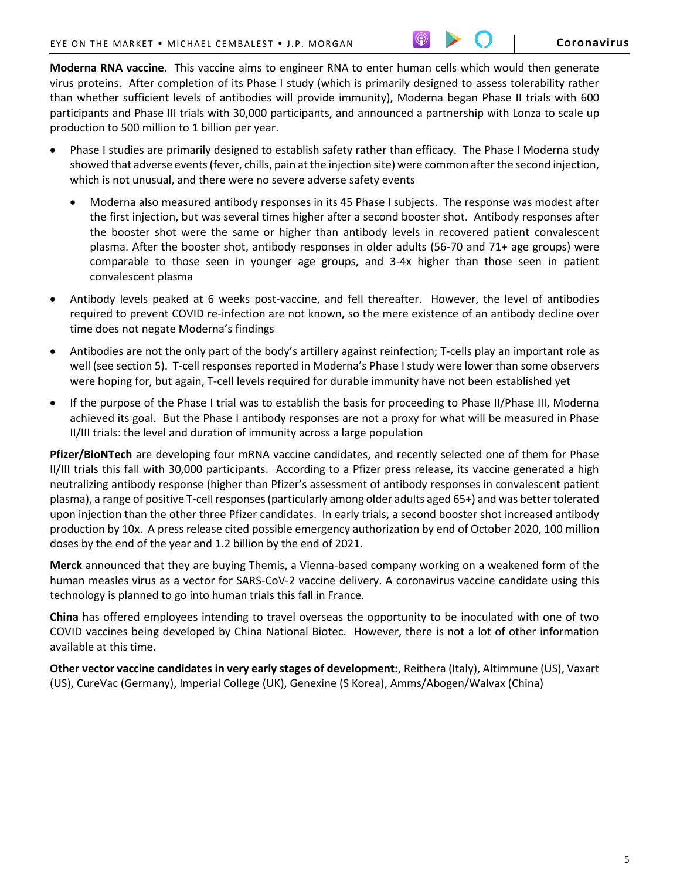**Moderna RNA vaccine**. This vaccine aims to engineer RNA to enter human cells which would then generate virus proteins. After completion of its Phase I study (which is primarily designed to assess tolerability rather than whether sufficient levels of antibodies will provide immunity), Moderna began Phase II trials with 600 participants and Phase III trials with 30,000 participants, and announced a partnership with Lonza to scale up production to 500 million to 1 billion per year.

- Phase I studies are primarily designed to establish safety rather than efficacy. The Phase I Moderna study showed that adverse events (fever, chills, pain at the injection site) were common after the second injection, which is not unusual, and there were no severe adverse safety events
	- Moderna also measured antibody responses in its 45 Phase I subjects. The response was modest after the first injection, but was several times higher after a second booster shot. Antibody responses after the booster shot were the same or higher than antibody levels in recovered patient convalescent plasma. After the booster shot, antibody responses in older adults (56-70 and 71+ age groups) were comparable to those seen in younger age groups, and 3-4x higher than those seen in patient convalescent plasma
- Antibody levels peaked at 6 weeks post-vaccine, and fell thereafter. However, the level of antibodies required to prevent COVID re-infection are not known, so the mere existence of an antibody decline over time does not negate Moderna's findings
- Antibodies are not the only part of the body's artillery against reinfection; T-cells play an important role as well (see section 5). T-cell responses reported in Moderna's Phase I study were lower than some observers were hoping for, but again, T-cell levels required for durable immunity have not been established yet
- If the purpose of the Phase I trial was to establish the basis for proceeding to Phase II/Phase III, Moderna achieved its goal. But the Phase I antibody responses are not a proxy for what will be measured in Phase II/III trials: the level and duration of immunity across a large population

**Pfizer/BioNTech** are developing four mRNA vaccine candidates, and recently selected one of them for Phase II/III trials this fall with 30,000 participants. According to a Pfizer press release, its vaccine generated a high neutralizing antibody response (higher than Pfizer's assessment of antibody responses in convalescent patient plasma), a range of positive T-cell responses (particularly among older adults aged 65+) and was better tolerated upon injection than the other three Pfizer candidates. In early trials, a second booster shot increased antibody production by 10x. A press release cited possible emergency authorization by end of October 2020, 100 million doses by the end of the year and 1.2 billion by the end of 2021.

**Merck** announced that they are buying Themis, a Vienna-based company working on a weakened form of the human measles virus as a vector for SARS-CoV-2 vaccine delivery. A coronavirus vaccine candidate using this technology is planned to go into human trials this fall in France.

**China** has offered employees intending to travel overseas the opportunity to be inoculated with one of two COVID vaccines being developed by China National Biotec. However, there is not a lot of other information available at this time.

**Other vector vaccine candidates in very early stages of development:**, Reithera (Italy), Altimmune (US), Vaxart (US), CureVac (Germany), Imperial College (UK), Genexine (S Korea), Amms/Abogen/Walvax (China)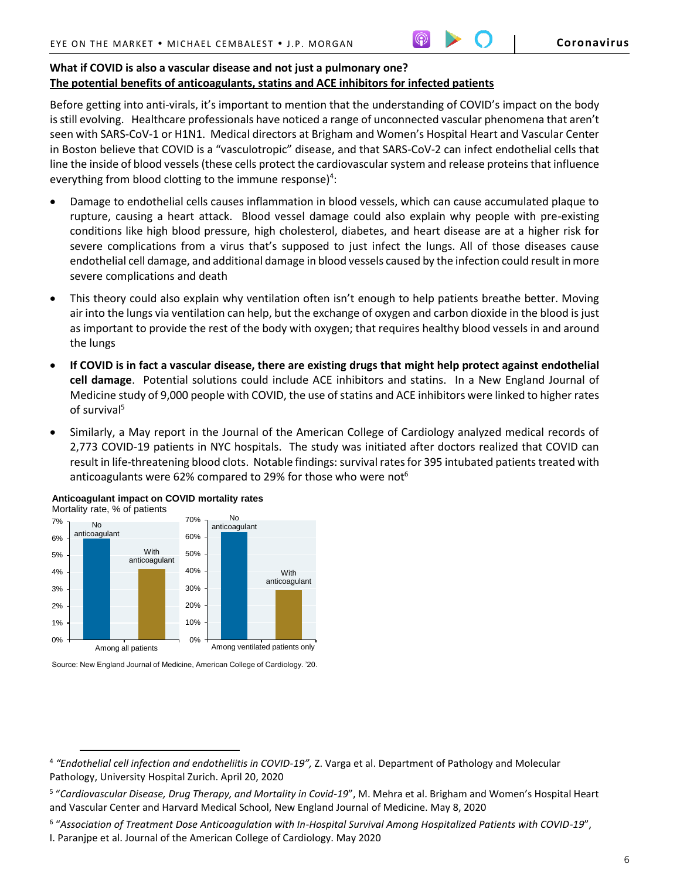# **What if COVID is also a vascular disease and not just a pulmonary one? The potential benefits of anticoagulants, statins and ACE inhibitors for infected patients**

Before getting into anti-virals, it's important to mention that the understanding of COVID's impact on the body is still evolving. Healthcare professionals have noticed a range of unconnected vascular phenomena that aren't seen with SARS-CoV-1 or H1N1. Medical directors at Brigham and Women's Hospital Heart and Vascular Center in Boston believe that COVID is a "vasculotropic" disease, and that SARS-CoV-2 can infect endothelial cells that line the inside of blood vessels (these cells protect the cardiovascular system and release proteins that influence everything from blood clotting to the immune response)<sup>4</sup>:

- Damage to endothelial cells causes inflammation in blood vessels, which can cause accumulated plaque to rupture, causing a heart attack. Blood vessel damage could also explain why people with pre-existing conditions like high blood pressure, high cholesterol, diabetes, and heart disease are at a higher risk for severe complications from a virus that's supposed to just infect the lungs. All of those diseases cause endothelial cell damage, and additional damage in blood vessels caused by the infection could result in more severe complications and death
- This theory could also explain why ventilation often isn't enough to help patients breathe better. Moving air into the lungs via ventilation can help, but the exchange of oxygen and carbon dioxide in the blood is just as important to provide the rest of the body with oxygen; that requires healthy blood vessels in and around the lungs
- **If COVID is in fact a vascular disease, there are existing drugs that might help protect against endothelial cell damage**. Potential solutions could include ACE inhibitors and statins. In a New England Journal of Medicine study of 9,000 people with COVID, the use of statins and ACE inhibitors were linked to higher rates of survival<sup>5</sup>
- Similarly, a May report in the Journal of the American College of Cardiology analyzed medical records of 2,773 COVID-19 patients in NYC hospitals. The study was initiated after doctors realized that COVID can result in life-threatening blood clots. Notable findings: survival rates for 395 intubated patients treated with anticoagulants were 62% compared to 29% for those who were not<sup>6</sup>



Source: New England Journal of Medicine, American College of Cardiology. '20.

 $\overline{a}$ 

5 "*Cardiovascular Disease, Drug Therapy, and Mortality in Covid-19*", M. Mehra et al. Brigham and Women's Hospital Heart and Vascular Center and Harvard Medical School, New England Journal of Medicine. May 8, 2020

6 "*Association of Treatment Dose Anticoagulation with In-Hospital Survival Among Hospitalized Patients with COVID-19*",

I. Paranjpe et al. Journal of the American College of Cardiology. May 2020

<sup>4</sup> *"Endothelial cell infection and endotheliitis in COVID-19",* Z. Varga et al. Department of Pathology and Molecular Pathology, University Hospital Zurich. April 20, 2020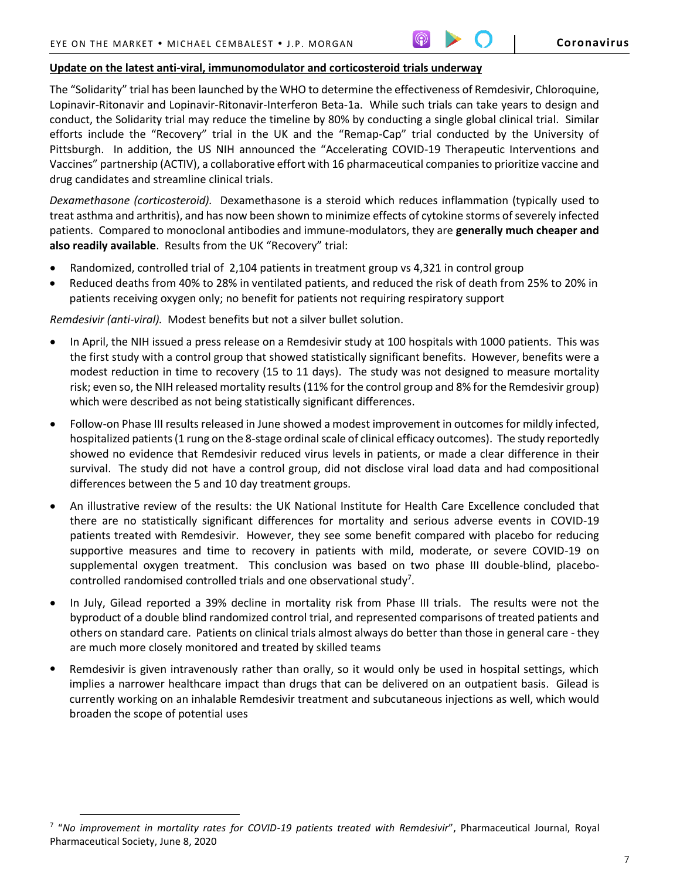### **Update on the latest anti-viral, immunomodulator and corticosteroid trials underway**

The "Solidarity" trial has been launched by the WHO to determine the effectiveness of Remdesivir, Chloroquine, Lopinavir-Ritonavir and Lopinavir-Ritonavir-Interferon Beta-1a. While such trials can take years to design and conduct, the Solidarity trial may reduce the timeline by 80% by conducting a single global clinical trial. Similar efforts include the "Recovery" trial in the UK and the "Remap-Cap" trial conducted by the University of Pittsburgh. In addition, the US NIH announced the "Accelerating COVID-19 Therapeutic Interventions and Vaccines" partnership (ACTIV), a collaborative effort with 16 pharmaceutical companies to prioritize vaccine and drug candidates and streamline clinical trials.

*Dexamethasone (corticosteroid).* Dexamethasone is a steroid which reduces inflammation (typically used to treat asthma and arthritis), and has now been shown to minimize effects of cytokine storms of severely infected patients. Compared to monoclonal antibodies and immune-modulators, they are **generally much cheaper and also readily available**. Results from the UK "Recovery" trial:

- Randomized, controlled trial of 2,104 patients in treatment group vs 4,321 in control group
- Reduced deaths from 40% to 28% in ventilated patients, and reduced the risk of death from 25% to 20% in patients receiving oxygen only; no benefit for patients not requiring respiratory support

*Remdesivir (anti-viral).* Modest benefits but not a silver bullet solution.

 $\overline{a}$ 

- In April, the NIH issued a press release on a Remdesivir study at 100 hospitals with 1000 patients. This was the first study with a control group that showed statistically significant benefits. However, benefits were a modest reduction in time to recovery (15 to 11 days). The study was not designed to measure mortality risk; even so, the NIH released mortality results (11% for the control group and 8% for the Remdesivir group) which were described as not being statistically significant differences.
- Follow-on Phase III results released in June showed a modest improvement in outcomes for mildly infected, hospitalized patients (1 rung on the 8-stage ordinal scale of clinical efficacy outcomes). The study reportedly showed no evidence that Remdesivir reduced virus levels in patients, or made a clear difference in their survival. The study did not have a control group, did not disclose viral load data and had compositional differences between the 5 and 10 day treatment groups.
- An illustrative review of the results: the UK National Institute for Health Care Excellence concluded that there are no statistically significant differences for mortality and serious adverse events in COVID-19 patients treated with Remdesivir. However, they see some benefit compared with placebo for reducing supportive measures and time to recovery in patients with mild, moderate, or severe COVID-19 on supplemental oxygen treatment. This conclusion was based on two phase III double-blind, placebocontrolled randomised controlled trials and one observational study<sup>7</sup>.
- In July, Gilead reported a 39% decline in mortality risk from Phase III trials. The results were not the byproduct of a double blind randomized control trial, and represented comparisons of treated patients and others on standard care. Patients on clinical trials almost always do better than those in general care - they are much more closely monitored and treated by skilled teams
- Remdesivir is given intravenously rather than orally, so it would only be used in hospital settings, which implies a narrower healthcare impact than drugs that can be delivered on an outpatient basis. Gilead is currently working on an inhalable Remdesivir treatment and subcutaneous injections as well, which would broaden the scope of potential uses

<sup>7</sup> "*No improvement in mortality rates for COVID-19 patients treated with Remdesivir*", Pharmaceutical Journal, Royal Pharmaceutical Society, June 8, 2020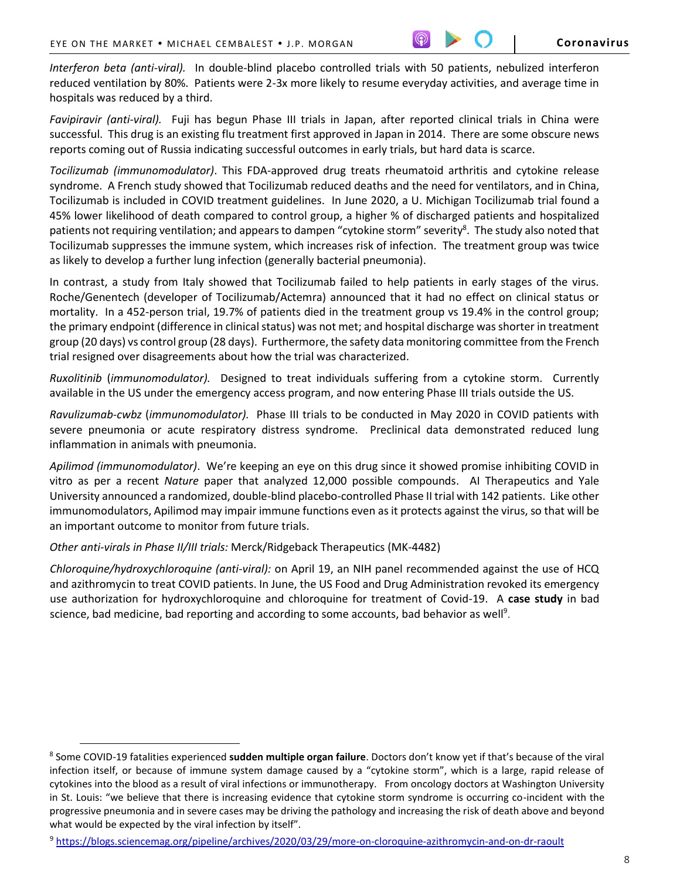*Interferon beta (anti-viral).* In double-blind placebo controlled trials with 50 patients, nebulized interferon reduced ventilation by 80%. Patients were 2-3x more likely to resume everyday activities, and average time in hospitals was reduced by a third.

*Favipiravir (anti-viral).* Fuji has begun Phase III trials in Japan, after reported clinical trials in China were successful. This drug is an existing flu treatment first approved in Japan in 2014. There are some obscure news reports coming out of Russia indicating successful outcomes in early trials, but hard data is scarce.

*Tocilizumab (immunomodulator)*. This FDA-approved drug treats rheumatoid arthritis and cytokine release syndrome. A French study showed that Tocilizumab reduced deaths and the need for ventilators, and in China, Tocilizumab is included in COVID treatment guidelines. In June 2020, a U. Michigan Tocilizumab trial found a 45% lower likelihood of death compared to control group, a higher % of discharged patients and hospitalized patients not requiring ventilation; and appears to dampen "cytokine storm" severity<sup>8</sup>. The study also noted that Tocilizumab suppresses the immune system, which increases risk of infection. The treatment group was twice as likely to develop a further lung infection (generally bacterial pneumonia).

In contrast, a study from Italy showed that Tocilizumab failed to help patients in early stages of the virus. Roche/Genentech (developer of Tocilizumab/Actemra) announced that it had no effect on clinical status or mortality. In a 452-person trial, 19.7% of patients died in the treatment group vs 19.4% in the control group; the primary endpoint (difference in clinical status) was not met; and hospital discharge was shorter in treatment group (20 days) vs control group (28 days). Furthermore, the safety data monitoring committee from the French trial resigned over disagreements about how the trial was characterized.

*Ruxolitinib* (*immunomodulator).* Designed to treat individuals suffering from a cytokine storm. Currently available in the US under the emergency access program, and now entering Phase III trials outside the US.

*Ravulizumab-cwbz* (*immunomodulator).* Phase III trials to be conducted in May 2020 in COVID patients with severe pneumonia or acute respiratory distress syndrome. Preclinical data demonstrated reduced lung inflammation in animals with pneumonia.

*Apilimod (immunomodulator)*. We're keeping an eye on this drug since it showed promise inhibiting COVID in vitro as per a recent *Nature* paper that analyzed 12,000 possible compounds. AI Therapeutics and Yale University announced a randomized, double-blind placebo-controlled Phase II trial with 142 patients. Like other immunomodulators, Apilimod may impair immune functions even as it protects against the virus, so that will be an important outcome to monitor from future trials.

*Other anti-virals in Phase II/III trials:* Merck/Ridgeback Therapeutics (MK-4482)

 $\overline{a}$ 

*Chloroquine/hydroxychloroquine (anti-viral):* on April 19, an NIH panel recommended against the use of HCQ and azithromycin to treat COVID patients. In June, the US Food and Drug Administration revoked its emergency use authorization for hydroxychloroquine and chloroquine for treatment of Covid-19. A **case study** in bad science, bad medicine, bad reporting and according to some accounts, bad behavior as well<sup>9</sup>.

<sup>9</sup> <https://blogs.sciencemag.org/pipeline/archives/2020/03/29/more-on-cloroquine-azithromycin-and-on-dr-raoult>

<sup>8</sup> Some COVID-19 fatalities experienced **sudden multiple organ failure**. Doctors don't know yet if that's because of the viral infection itself, or because of immune system damage caused by a "cytokine storm", which is a large, rapid release of cytokines into the blood as a result of viral infections or immunotherapy. From oncology doctors at Washington University in St. Louis: "we believe that there is increasing evidence that cytokine storm syndrome is occurring co-incident with the progressive pneumonia and in severe cases may be driving the pathology and increasing the risk of death above and beyond what would be expected by the viral infection by itself".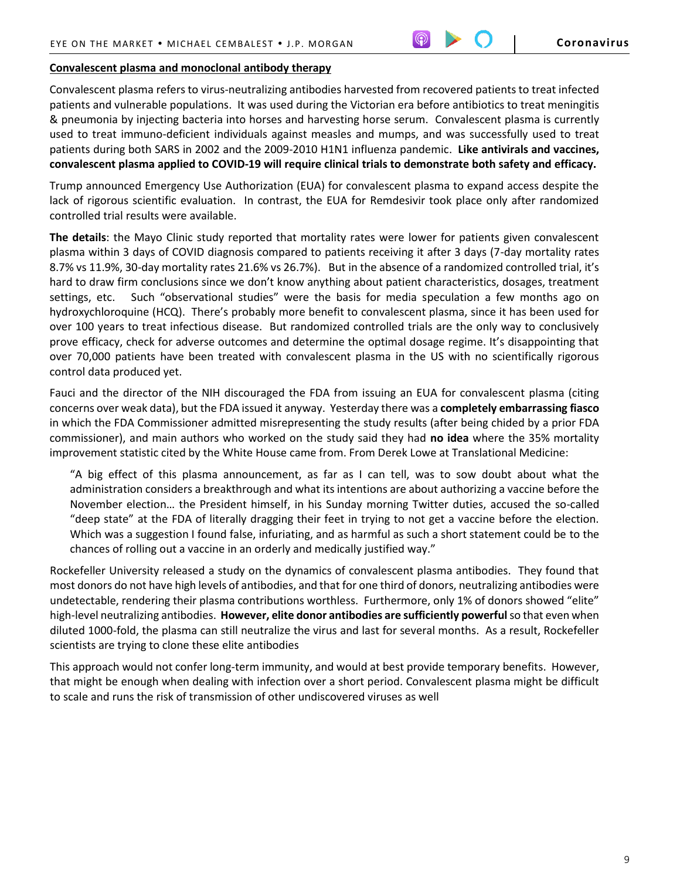### **Convalescent plasma and monoclonal antibody therapy**

Convalescent plasma refers to virus-neutralizing antibodies harvested from recovered patients to treat infected patients and vulnerable populations. It was used during the Victorian era before antibiotics to treat meningitis & pneumonia by injecting bacteria into horses and harvesting horse serum. Convalescent plasma is currently used to treat immuno-deficient individuals against measles and mumps, and was successfully used to treat patients during both SARS in 2002 and the 2009-2010 H1N1 influenza pandemic. **Like antivirals and vaccines, convalescent plasma applied to COVID-19 will require clinical trials to demonstrate both safety and efficacy.**

Trump announced Emergency Use Authorization (EUA) for convalescent plasma to expand access despite the lack of rigorous scientific evaluation. In contrast, the EUA for Remdesivir took place only after randomized controlled trial results were available.

**The details**: the Mayo Clinic study reported that mortality rates were lower for patients given convalescent plasma within 3 days of COVID diagnosis compared to patients receiving it after 3 days (7-day mortality rates 8.7% vs 11.9%, 30-day mortality rates 21.6% vs 26.7%). But in the absence of a randomized controlled trial, it's hard to draw firm conclusions since we don't know anything about patient characteristics, dosages, treatment settings, etc. Such "observational studies" were the basis for media speculation a few months ago on hydroxychloroquine (HCQ). There's probably more benefit to convalescent plasma, since it has been used for over 100 years to treat infectious disease. But randomized controlled trials are the only way to conclusively prove efficacy, check for adverse outcomes and determine the optimal dosage regime. It's disappointing that over 70,000 patients have been treated with convalescent plasma in the US with no scientifically rigorous control data produced yet.

Fauci and the director of the NIH discouraged the FDA from issuing an EUA for convalescent plasma (citing concerns over weak data), but the FDA issued it anyway. Yesterday there was a **completely embarrassing fiasco** in which the FDA Commissioner admitted misrepresenting the study results (after being chided by a prior FDA commissioner), and main authors who worked on the study said they had **no idea** where the 35% mortality improvement statistic cited by the White House came from. From Derek Lowe at Translational Medicine:

"A big effect of this plasma announcement, as far as I can tell, was to sow doubt about what the administration considers a breakthrough and what its intentions are about authorizing a vaccine before the November election… the President himself, in his Sunday morning Twitter duties, accused the so-called "deep state" at the FDA of literally dragging their feet in trying to not get a vaccine before the election. Which was a suggestion I found false, infuriating, and as harmful as such a short statement could be to the chances of rolling out a vaccine in an orderly and medically justified way."

Rockefeller University released a study on the dynamics of convalescent plasma antibodies. They found that most donors do not have high levels of antibodies, and that for one third of donors, neutralizing antibodies were undetectable, rendering their plasma contributions worthless. Furthermore, only 1% of donors showed "elite" high-level neutralizing antibodies. **However, elite donor antibodies are sufficiently powerful**so that even when diluted 1000-fold, the plasma can still neutralize the virus and last for several months. As a result, Rockefeller scientists are trying to clone these elite antibodies

This approach would not confer long-term immunity, and would at best provide temporary benefits. However, that might be enough when dealing with infection over a short period. Convalescent plasma might be difficult to scale and runs the risk of transmission of other undiscovered viruses as well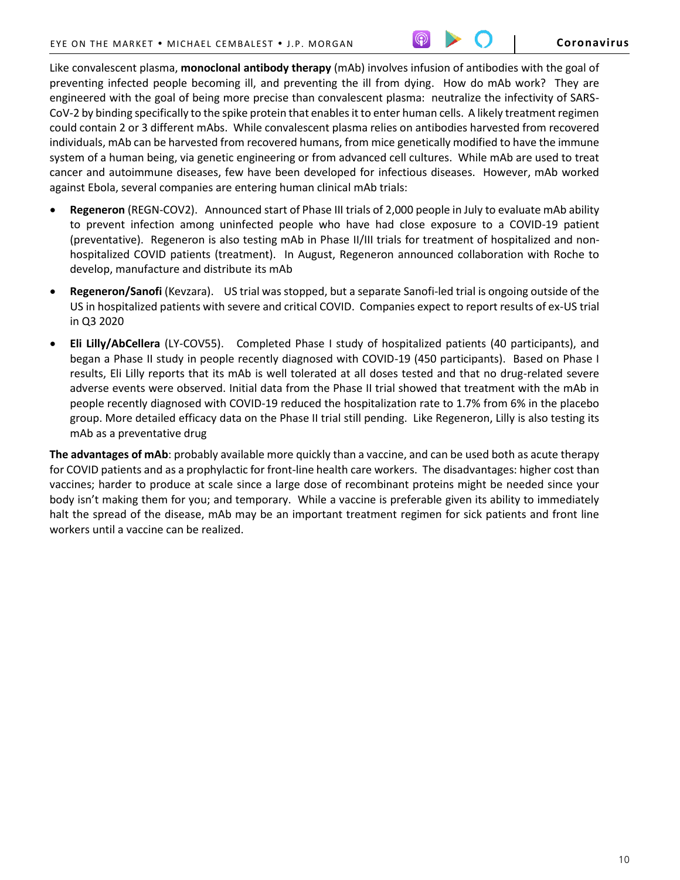Like convalescent plasma, **monoclonal antibody therapy** (mAb) involves infusion of antibodies with the goal of preventing infected people becoming ill, and preventing the ill from dying. How do mAb work? They are engineered with the goal of being more precise than convalescent plasma: neutralize the infectivity of SARS-CoV-2 by binding specifically to the spike protein that enables it to enter human cells. A likely treatment regimen could contain 2 or 3 different mAbs. While convalescent plasma relies on antibodies harvested from recovered individuals, mAb can be harvested from recovered humans, from mice genetically modified to have the immune system of a human being, via genetic engineering or from advanced cell cultures. While mAb are used to treat cancer and autoimmune diseases, few have been developed for infectious diseases. However, mAb worked against Ebola, several companies are entering human clinical mAb trials:

- **Regeneron** (REGN-COV2). Announced start of Phase III trials of 2,000 people in July to evaluate mAb ability to prevent infection among uninfected people who have had close exposure to a COVID-19 patient (preventative). Regeneron is also testing mAb in Phase II/III trials for treatment of hospitalized and nonhospitalized COVID patients (treatment). In August, Regeneron announced collaboration with Roche to develop, manufacture and distribute its mAb
- **Regeneron/Sanofi** (Kevzara). US trial was stopped, but a separate Sanofi-led trial is ongoing outside of the US in hospitalized patients with severe and critical COVID. Companies expect to report results of ex-US trial in Q3 2020
- **Eli Lilly/AbCellera** (LY-COV55). Completed Phase I study of hospitalized patients (40 participants), and began a Phase II study in people recently diagnosed with COVID-19 (450 participants). Based on Phase I results, Eli Lilly reports that its mAb is well tolerated at all doses tested and that no drug-related severe adverse events were observed. Initial data from the Phase II trial showed that treatment with the mAb in people recently diagnosed with COVID-19 reduced the hospitalization rate to 1.7% from 6% in the placebo group. More detailed efficacy data on the Phase II trial still pending. Like Regeneron, Lilly is also testing its mAb as a preventative drug

**The advantages of mAb**: probably available more quickly than a vaccine, and can be used both as acute therapy for COVID patients and as a prophylactic for front-line health care workers. The disadvantages: higher cost than vaccines; harder to produce at scale since a large dose of recombinant proteins might be needed since your body isn't making them for you; and temporary. While a vaccine is preferable given its ability to immediately halt the spread of the disease, mAb may be an important treatment regimen for sick patients and front line workers until a vaccine can be realized.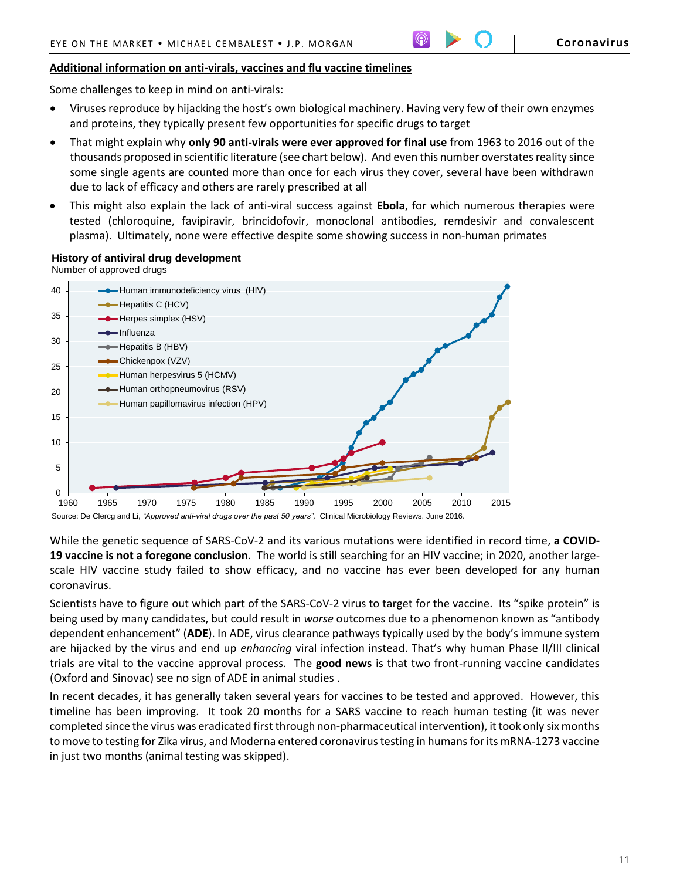Some challenges to keep in mind on anti-virals:

- Viruses reproduce by hijacking the host's own biological machinery. Having very few of their own enzymes and proteins, they typically present few opportunities for specific drugs to target
- That might explain why **only 90 anti-virals were ever approved for final use** from 1963 to 2016 out of the thousands proposed in scientific literature (see chart below). And even this number overstates reality since some single agents are counted more than once for each virus they cover, several have been withdrawn due to lack of efficacy and others are rarely prescribed at all
- This might also explain the lack of anti-viral success against **Ebola**, for which numerous therapies were tested (chloroquine, favipiravir, brincidofovir, monoclonal antibodies, remdesivir and convalescent plasma). Ultimately, none were effective despite some showing success in non-human primates

#### 0 5 10 15 20 25 30 35 40 1960 1965 1970 1975 1980 1985 1990 1995 2000 2005 2010 2015 **-**Human immunodeficiency virus (HIV) Hepatitis C (HCV) -Herpes simplex (HSV) -Influenza -Hepatitis B (HBV) -Chickenpox (VZV) Human herpesvirus 5 (HCMV) Human orthopneumovirus (RSV) Human papillomavirus infection (HPV) Number of approved drugs

**History of antiviral drug development**

Source: De Clercg and Li, *"Approved anti-viral drugs over the past 50 years",* Clinical Microbiology Reviews. June 2016.

While the genetic sequence of SARS-CoV-2 and its various mutations were identified in record time, **a COVID-19 vaccine is not a foregone conclusion**. The world is still searching for an HIV vaccine; in 2020, another largescale HIV vaccine study failed to show efficacy, and no vaccine has ever been developed for any human coronavirus.

Scientists have to figure out which part of the SARS-CoV-2 virus to target for the vaccine. Its "spike protein" is being used by many candidates, but could result in *worse* outcomes due to a phenomenon known as "antibody dependent enhancement" (**ADE**). In ADE, virus clearance pathways typically used by the body's immune system are hijacked by the virus and end up *enhancing* viral infection instead. That's why human Phase II/III clinical trials are vital to the vaccine approval process. The **good news** is that two front-running vaccine candidates (Oxford and Sinovac) see no sign of ADE in animal studies .

In recent decades, it has generally taken several years for vaccines to be tested and approved. However, this timeline has been improving. It took 20 months for a SARS vaccine to reach human testing (it was never completed since the virus was eradicated first through non-pharmaceutical intervention), it took only six months to move to testing for Zika virus, and Moderna entered coronavirus testing in humans for its mRNA-1273 vaccine in just two months (animal testing was skipped).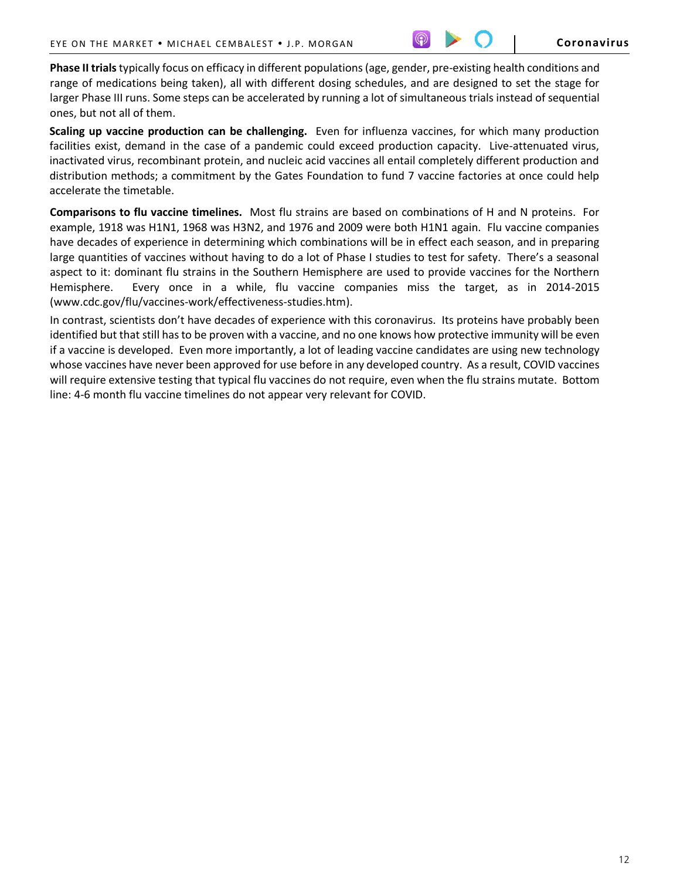**Phase II trials**typically focus on efficacy in different populations (age, gender, pre-existing health conditions and range of medications being taken), all with different dosing schedules, and are designed to set the stage for larger Phase III runs. Some steps can be accelerated by running a lot of simultaneous trials instead of sequential ones, but not all of them.

**Scaling up vaccine production can be challenging.** Even for influenza vaccines, for which many production facilities exist, demand in the case of a pandemic could exceed production capacity. Live-attenuated virus, inactivated virus, recombinant protein, and nucleic acid vaccines all entail completely different production and distribution methods; a commitment by the Gates Foundation to fund 7 vaccine factories at once could help accelerate the timetable.

**Comparisons to flu vaccine timelines.** Most flu strains are based on combinations of H and N proteins. For example, 1918 was H1N1, 1968 was H3N2, and 1976 and 2009 were both H1N1 again. Flu vaccine companies have decades of experience in determining which combinations will be in effect each season, and in preparing large quantities of vaccines without having to do a lot of Phase I studies to test for safety. There's a seasonal aspect to it: dominant flu strains in the Southern Hemisphere are used to provide vaccines for the Northern Hemisphere. Every once in a while, flu vaccine companies miss the target, as in 2014-2015 (www.cdc.gov/flu/vaccines-work/effectiveness-studies.htm).

In contrast, scientists don't have decades of experience with this coronavirus. Its proteins have probably been identified but that still has to be proven with a vaccine, and no one knows how protective immunity will be even if a vaccine is developed. Even more importantly, a lot of leading vaccine candidates are using new technology whose vaccines have never been approved for use before in any developed country. As a result, COVID vaccines will require extensive testing that typical flu vaccines do not require, even when the flu strains mutate. Bottom line: 4-6 month flu vaccine timelines do not appear very relevant for COVID.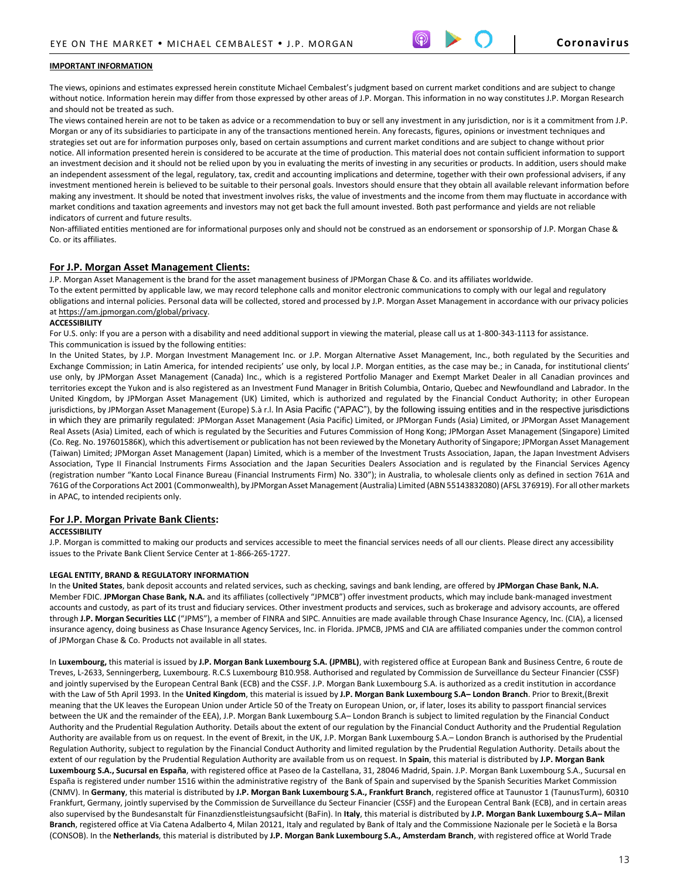#### **IMPORTANT INFORMATION**

The views, opinions and estimates expressed herein constitute Michael Cembalest's judgment based on current market conditions and are subject to change without notice. Information herein may differ from those expressed by other areas of J.P. Morgan. This information in no way constitutes J.P. Morgan Research and should not be treated as such.

The views contained herein are not to be taken as advice or a recommendation to buy or sell any investment in any jurisdiction, nor is it a commitment from J.P. Morgan or any of its subsidiaries to participate in any of the transactions mentioned herein. Any forecasts, figures, opinions or investment techniques and strategies set out are for information purposes only, based on certain assumptions and current market conditions and are subject to change without prior notice. All information presented herein is considered to be accurate at the time of production. This material does not contain sufficient information to support an investment decision and it should not be relied upon by you in evaluating the merits of investing in any securities or products. In addition, users should make an independent assessment of the legal, regulatory, tax, credit and accounting implications and determine, together with their own professional advisers, if any investment mentioned herein is believed to be suitable to their personal goals. Investors should ensure that they obtain all available relevant information before making any investment. It should be noted that investment involves risks, the value of investments and the income from them may fluctuate in accordance with market conditions and taxation agreements and investors may not get back the full amount invested. Both past performance and yields are not reliable indicators of current and future results.

Non-affiliated entities mentioned are for informational purposes only and should not be construed as an endorsement or sponsorship of J.P. Morgan Chase & Co. or its affiliates.

#### **For J.P. Morgan Asset Management Clients:**

J.P. Morgan Asset Management is the brand for the asset management business of JPMorgan Chase & Co. and its affiliates worldwide.

To the extent permitted by applicable law, we may record telephone calls and monitor electronic communications to comply with our legal and regulatory obligations and internal policies. Personal data will be collected, stored and processed by J.P. Morgan Asset Management in accordance with our privacy policies a[t https://am.jpmorgan.com/global/privacy.](https://am.jpmorgan.com/global/privacy)

#### **ACCESSIBILITY**

For U.S. only: If you are a person with a disability and need additional support in viewing the material, please call us at 1-800-343-1113 for assistance. This communication is issued by the following entities:

In the United States, by J.P. Morgan Investment Management Inc. or J.P. Morgan Alternative Asset Management, Inc., both regulated by the Securities and Exchange Commission; in Latin America, for intended recipients' use only, by local J.P. Morgan entities, as the case may be.; in Canada, for institutional clients' use only, by JPMorgan Asset Management (Canada) Inc., which is a registered Portfolio Manager and Exempt Market Dealer in all Canadian provinces and territories except the Yukon and is also registered as an Investment Fund Manager in British Columbia, Ontario, Quebec and Newfoundland and Labrador. In the United Kingdom, by JPMorgan Asset Management (UK) Limited, which is authorized and regulated by the Financial Conduct Authority; in other European jurisdictions, by JPMorgan Asset Management (Europe) S.à r.l. In Asia Pacific ("APAC"), by the following issuing entities and in the respective jurisdictions in which they are primarily regulated: JPMorgan Asset Management (Asia Pacific) Limited, or JPMorgan Funds (Asia) Limited, or JPMorgan Asset Management Real Assets (Asia) Limited, each of which is regulated by the Securities and Futures Commission of Hong Kong; JPMorgan Asset Management (Singapore) Limited (Co. Reg. No. 197601586K), which this advertisement or publication has not been reviewed by the Monetary Authority of Singapore; JPMorgan Asset Management (Taiwan) Limited; JPMorgan Asset Management (Japan) Limited, which is a member of the Investment Trusts Association, Japan, the Japan Investment Advisers Association, Type II Financial Instruments Firms Association and the Japan Securities Dealers Association and is regulated by the Financial Services Agency (registration number "Kanto Local Finance Bureau (Financial Instruments Firm) No. 330"); in Australia, to wholesale clients only as defined in section 761A and 761G of the Corporations Act 2001 (Commonwealth), by JPMorgan Asset Management (Australia) Limited (ABN 55143832080) (AFSL 376919). For all other markets in APAC, to intended recipients only.

#### **For J.P. Morgan Private Bank Clients:**

#### **ACCESSIBILITY**

J.P. Morgan is committed to making our products and services accessible to meet the financial services needs of all our clients. Please direct any accessibility issues to the Private Bank Client Service Center at 1-866-265-1727.

#### **LEGAL ENTITY, BRAND & REGULATORY INFORMATION**

In the **United States**, bank deposit accounts and related services, such as checking, savings and bank lending, are offered by **JPMorgan Chase Bank, N.A.**  Member FDIC. **JPMorgan Chase Bank, N.A.** and its affiliates (collectively "JPMCB") offer investment products, which may include bank-managed investment accounts and custody, as part of its trust and fiduciary services. Other investment products and services, such as brokerage and advisory accounts, are offered through **J.P. Morgan Securities LLC** ("JPMS"), a member of FINRA and SIPC. Annuities are made available through Chase Insurance Agency, Inc. (CIA), a licensed insurance agency, doing business as Chase Insurance Agency Services, Inc. in Florida. JPMCB, JPMS and CIA are affiliated companies under the common control of JPMorgan Chase & Co. Products not available in all states.

In **Luxembourg,** this material is issued by **J.P. Morgan Bank Luxembourg S.A. (JPMBL)**, with registered office at European Bank and Business Centre, 6 route de Treves, L-2633, Senningerberg, Luxembourg. R.C.S Luxembourg B10.958. Authorised and regulated by Commission de Surveillance du Secteur Financier (CSSF) and jointly supervised by the European Central Bank (ECB) and the CSSF. J.P. Morgan Bank Luxembourg S.A. is authorized as a credit institution in accordance with the Law of 5th April 1993. In the **United Kingdom**, this material is issued by **J.P. Morgan Bank Luxembourg S.A– London Branch**. Prior to Brexit,(Brexit meaning that the UK leaves the European Union under Article 50 of the Treaty on European Union, or, if later, loses its ability to passport financial services between the UK and the remainder of the EEA), J.P. Morgan Bank Luxembourg S.A– London Branch is subject to limited regulation by the Financial Conduct Authority and the Prudential Regulation Authority. Details about the extent of our regulation by the Financial Conduct Authority and the Prudential Regulation Authority are available from us on request. In the event of Brexit, in the UK, J.P. Morgan Bank Luxembourg S.A.– London Branch is authorised by the Prudential Regulation Authority, subject to regulation by the Financial Conduct Authority and limited regulation by the Prudential Regulation Authority. Details about the extent of our regulation by the Prudential Regulation Authority are available from us on request. In **Spain**, this material is distributed by **J.P. Morgan Bank Luxembourg S.A., Sucursal en España**, with registered office at Paseo de la Castellana, 31, 28046 Madrid, Spain. J.P. Morgan Bank Luxembourg S.A., Sucursal en España is registered under number 1516 within the administrative registry of the Bank of Spain and supervised by the Spanish Securities Market Commission (CNMV). In **Germany**, this material is distributed by **J.P. Morgan Bank Luxembourg S.A., Frankfurt Branch**, registered office at Taunustor 1 (TaunusTurm), 60310 Frankfurt, Germany, jointly supervised by the Commission de Surveillance du Secteur Financier (CSSF) and the European Central Bank (ECB), and in certain areas also supervised by the Bundesanstalt für Finanzdienstleistungsaufsicht (BaFin). In **Italy**, this material is distributed by **J.P. Morgan Bank Luxembourg S.A– Milan Branch**, registered office at Via Catena Adalberto 4, Milan 20121, Italy and regulated by Bank of Italy and the Commissione Nazionale per le Società e la Borsa (CONSOB). In the **Netherlands**, this material is distributed by **J.P. Morgan Bank Luxembourg S.A., Amsterdam Branch**, with registered office at World Trade